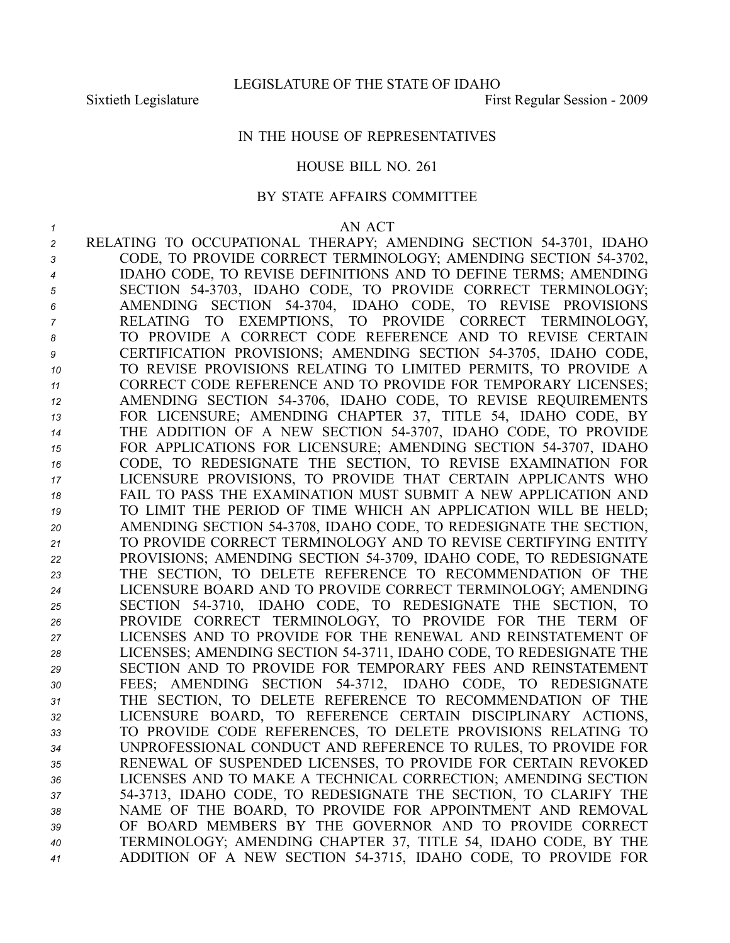## IN THE HOUSE OF REPRESENTATIVES

### HOUSE BILL NO. 261

### BY STATE AFFAIRS COMMITTEE

#### *1* AN ACT

 RELATING TO OCCUPATIONAL THERAPY; AMENDING SECTION 543701, IDAHO CODE, TO PROVIDE CORRECT TERMINOLOGY; AMENDING SECTION 543702, IDAHO CODE, TO REVISE DEFINITIONS AND TO DEFINE TERMS; AMENDING SECTION 543703, IDAHO CODE, TO PROVIDE CORRECT TERMINOLOGY; AMENDING SECTION 543704, IDAHO CODE, TO REVISE PROVISIONS RELATING TO EXEMPTIONS, TO PROVIDE CORRECT TERMINOLOGY, TO PROVIDE A CORRECT CODE REFERENCE AND TO REVISE CERTAIN CERTIFICATION PROVISIONS; AMENDING SECTION 543705, IDAHO CODE, TO REVISE PROVISIONS RELATING TO LIMITED PERMITS, TO PROVIDE A CORRECT CODE REFERENCE AND TO PROVIDE FOR TEMPORARY LICENSES; AMENDING SECTION 543706, IDAHO CODE, TO REVISE REQUIREMENTS FOR LICENSURE; AMENDING CHAPTER 37, TITLE 54, IDAHO CODE, BY THE ADDITION OF A NEW SECTION 543707, IDAHO CODE, TO PROVIDE FOR APPLICATIONS FOR LICENSURE; AMENDING SECTION 543707, IDAHO CODE, TO REDESIGNATE THE SECTION, TO REVISE EXAMINATION FOR LICENSURE PROVISIONS, TO PROVIDE THAT CERTAIN APPLICANTS WHO FAIL TO PASS THE EXAMINATION MUST SUBMIT A NEW APPLICATION AND TO LIMIT THE PERIOD OF TIME WHICH AN APPLICATION WILL BE HELD; AMENDING SECTION 543708, IDAHO CODE, TO REDESIGNATE THE SECTION, TO PROVIDE CORRECT TERMINOLOGY AND TO REVISE CERTIFYING ENTITY PROVISIONS; AMENDING SECTION 543709, IDAHO CODE, TO REDESIGNATE THE SECTION, TO DELETE REFERENCE TO RECOMMENDATION OF THE LICENSURE BOARD AND TO PROVIDE CORRECT TERMINOLOGY; AMENDING SECTION 543710, IDAHO CODE, TO REDESIGNATE THE SECTION, TO PROVIDE CORRECT TERMINOLOGY, TO PROVIDE FOR THE TERM OF LICENSES AND TO PROVIDE FOR THE RENEWAL AND REINSTATEMENT OF LICENSES; AMENDING SECTION 543711, IDAHO CODE, TO REDESIGNATE THE SECTION AND TO PROVIDE FOR TEMPORARY FEES AND REINSTATEMENT FEES; AMENDING SECTION 543712, IDAHO CODE, TO REDESIGNATE THE SECTION, TO DELETE REFERENCE TO RECOMMENDATION OF THE LICENSURE BOARD, TO REFERENCE CERTAIN DISCIPLINARY ACTIONS, TO PROVIDE CODE REFERENCES, TO DELETE PROVISIONS RELATING TO UNPROFESSIONAL CONDUCT AND REFERENCE TO RULES, TO PROVIDE FOR RENEWAL OF SUSPENDED LICENSES, TO PROVIDE FOR CERTAIN REVOKED LICENSES AND TO MAKE A TECHNICAL CORRECTION; AMENDING SECTION 543713, IDAHO CODE, TO REDESIGNATE THE SECTION, TO CLARIFY THE NAME OF THE BOARD, TO PROVIDE FOR APPOINTMENT AND REMOVAL OF BOARD MEMBERS BY THE GOVERNOR AND TO PROVIDE CORRECT TERMINOLOGY; AMENDING CHAPTER 37, TITLE 54, IDAHO CODE, BY THE ADDITION OF A NEW SECTION 543715, IDAHO CODE, TO PROVIDE FOR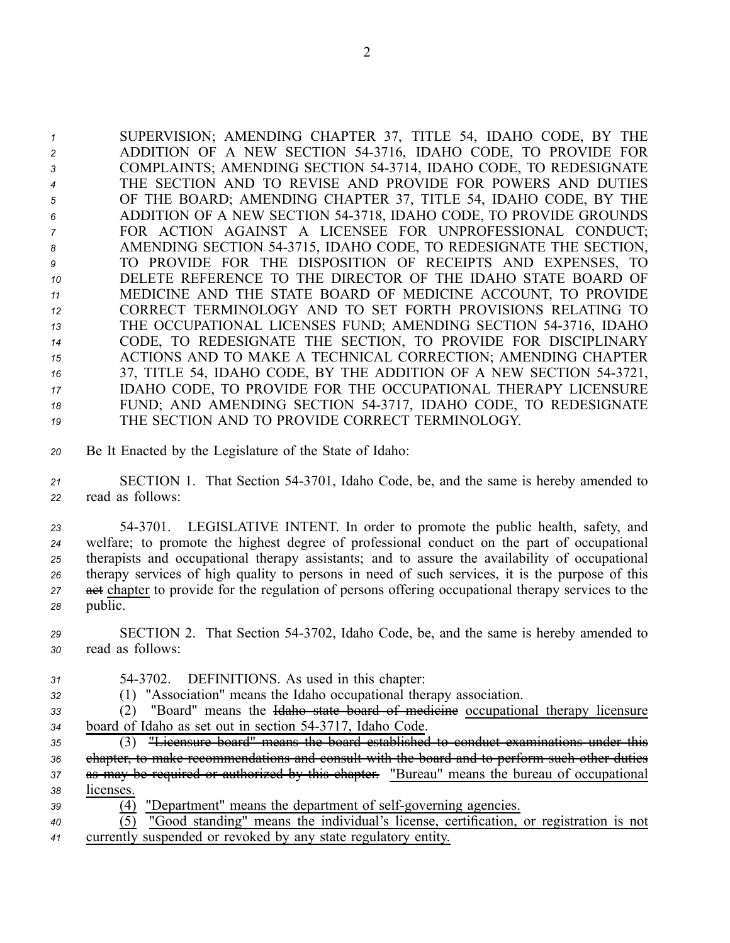SUPERVISION; AMENDING CHAPTER 37, TITLE 54, IDAHO CODE, BY THE ADDITION OF A NEW SECTION 543716, IDAHO CODE, TO PROVIDE FOR COMPLAINTS; AMENDING SECTION 543714, IDAHO CODE, TO REDESIGNATE THE SECTION AND TO REVISE AND PROVIDE FOR POWERS AND DUTIES OF THE BOARD; AMENDING CHAPTER 37, TITLE 54, IDAHO CODE, BY THE ADDITION OF A NEW SECTION 543718, IDAHO CODE, TO PROVIDE GROUNDS FOR ACTION AGAINST A LICENSEE FOR UNPROFESSIONAL CONDUCT; AMENDING SECTION 543715, IDAHO CODE, TO REDESIGNATE THE SECTION, TO PROVIDE FOR THE DISPOSITION OF RECEIPTS AND EXPENSES, TO DELETE REFERENCE TO THE DIRECTOR OF THE IDAHO STATE BOARD OF MEDICINE AND THE STATE BOARD OF MEDICINE ACCOUNT, TO PROVIDE CORRECT TERMINOLOGY AND TO SET FORTH PROVISIONS RELATING TO THE OCCUPATIONAL LICENSES FUND; AMENDING SECTION 543716, IDAHO CODE, TO REDESIGNATE THE SECTION, TO PROVIDE FOR DISCIPLINARY ACTIONS AND TO MAKE A TECHNICAL CORRECTION; AMENDING CHAPTER 37, TITLE 54, IDAHO CODE, BY THE ADDITION OF A NEW SECTION 543721, IDAHO CODE, TO PROVIDE FOR THE OCCUPATIONAL THERAPY LICENSURE FUND; AND AMENDING SECTION 543717, IDAHO CODE, TO REDESIGNATE THE SECTION AND TO PROVIDE CORRECT TERMINOLOGY.

*<sup>20</sup>* Be It Enacted by the Legislature of the State of Idaho:

*<sup>21</sup>* SECTION 1. That Section 543701, Idaho Code, be, and the same is hereby amended to *<sup>22</sup>* read as follows:

 543701. LEGISLATIVE INTENT. In order to promote the public health, safety, and welfare; to promote the highest degree of professional conduct on the par<sup>t</sup> of occupational therapists and occupational therapy assistants; and to assure the availability of occupational therapy services of high quality to persons in need of such services, it is the purpose of this 27 act chapter to provide for the regulation of persons offering occupational therapy services to the *<sup>28</sup>* public.

*<sup>29</sup>* SECTION 2. That Section 543702, Idaho Code, be, and the same is hereby amended to *<sup>30</sup>* read as follows:

- *<sup>31</sup>* 543702. DEFINITIONS. As used in this chapter:
- *<sup>32</sup>* (1) "Association" means the Idaho occupational therapy association.

*<sup>33</sup>* (2) "Board" means the Idaho state board of medicine occupational therapy licensure *<sup>34</sup>* board of Idaho as set out in section 543717, Idaho Code.

 (3) "Licensure board" means the board established to conduct examinations under this chapter, to make recommendations and consult with the board and to perform such other duties as may be required or authorized by this chapter. "Bureau" means the bureau of occupational licenses.

39 (4) "Department" means the department of self-governing agencies.

*<sup>40</sup>* (5) "Good standing" means the individual's license, certification, or registration is not *<sup>41</sup>* currently suspended or revoked by any state regulatory entity.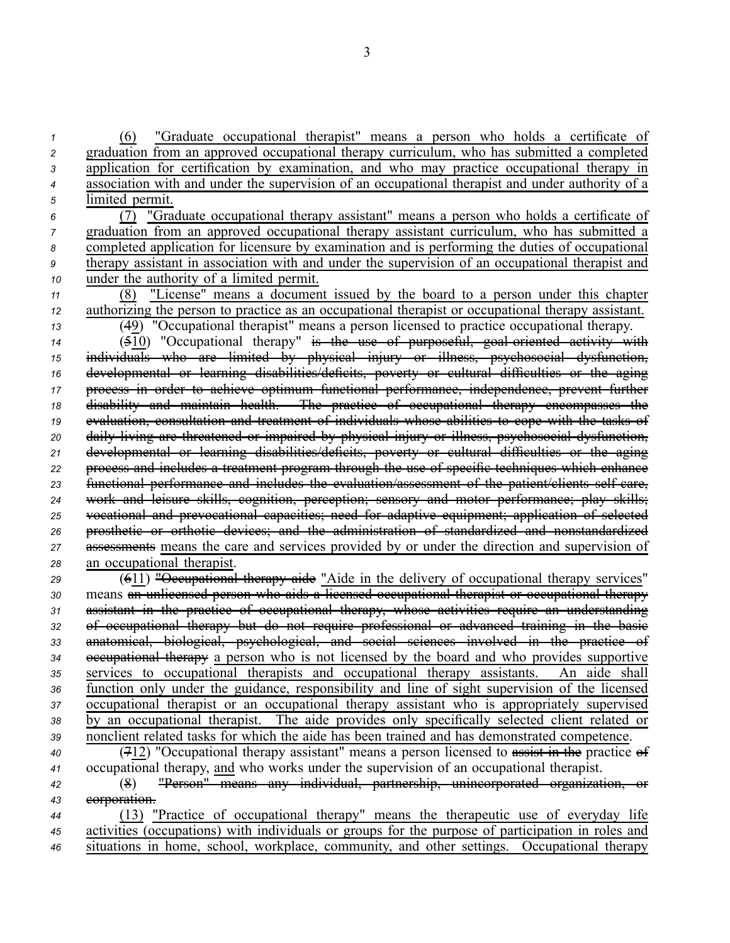(6) "Graduate occupational therapist" means <sup>a</sup> person who holds <sup>a</sup> certificate of graduation from an approved occupational therapy curriculum, who has submitted <sup>a</sup> completed application for certification by examination, and who may practice occupational therapy in association with and under the supervision of an occupational therapist and under authority of <sup>a</sup> limited permit.

- *<sup>6</sup>* (7) "Graduate occupational therapy assistant" means <sup>a</sup> person who holds <sup>a</sup> certificate of *<sup>7</sup>* graduation from an approved occupational therapy assistant curriculum, who has submitted <sup>a</sup> *<sup>8</sup>* completed application for licensure by examination and is performing the duties of occupational *<sup>9</sup>* therapy assistant in association with and under the supervision of an occupational therapist and *<sup>10</sup>* under the authority of <sup>a</sup> limited permit.
- *<sup>11</sup>* (8) "License" means <sup>a</sup> document issued by the board to <sup>a</sup> person under this chapter *<sup>12</sup>* authorizing the person to practice as an occupational therapist or occupational therapy assistant. *<sup>13</sup>* (49) "Occupational therapist" means <sup>a</sup> person licensed to practice occupational therapy.

 ( $\overline{510}$ ) "Occupational therapy" is the use of purposeful, goal oriented activity with individuals who are limited by physical injury or illness, psychosocial dysfunction, developmental or learning disabilities/deficits, poverty or cultural difficulties or the aging process in order to achieve optimum functional performance, independence, preven<sup>t</sup> further disability and maintain health. The practice of occupational therapy encompasses the evaluation, consultation and treatment of individuals whose abilities to cope with the tasks of daily living are threatened or impaired by physical injury or illness, psychosocial dysfunction, developmental or learning disabilities/deficits, poverty or cultural difficulties or the aging process and includes <sup>a</sup> treatment program through the use of specific techniques which enhance 23 functional performance and includes the evaluation/assessment of the patient/clients self care, work and leisure skills, cognition, perception; sensory and motor performance; play skills; vocational and prevocational capacities; need for adaptive equipment; application of selected prosthetic or orthotic devices; and the administration of standardized and nonstandardized assessments means the care and services provided by or under the direction and supervision of an occupational therapist.

 (611) "Occupational therapy aide "Aide in the delivery of occupational therapy services" means an unlicensed person who aids <sup>a</sup> licensed occupational therapist or occupational therapy assistant in the practice of occupational therapy, whose activities require an understanding of occupational therapy but do not require professional or advanced training in the basic anatomical, biological, psychological, and social sciences involved in the practice of occupational therapy <sup>a</sup> person who is not licensed by the board and who provides supportive services to occupational therapists and occupational therapy assistants. An aide shall function only under the guidance, responsibility and line of sight supervision of the licensed occupational therapist or an occupational therapy assistant who is appropriately supervised by an occupational therapist. The aide provides only specifically selected client related or nonclient related tasks for which the aide has been trained and has demonstrated competence.

- *<sup>40</sup>* (712) "Occupational therapy assistant" means <sup>a</sup> person licensed to assist in the practice of *<sup>41</sup>* occupational therapy, and who works under the supervision of an occupational therapist.
- *<sup>42</sup>* (8) "Person" means any individual, partnership, unincorporated organization, or *<sup>43</sup>* corporation.
- *<sup>44</sup>* (13) "Practice of occupational therapy" means the therapeutic use of everyday life *<sup>45</sup>* activities (occupations) with individuals or groups for the purpose of participation in roles and *<sup>46</sup>* situations in home, school, workplace, community, and other settings. Occupational therapy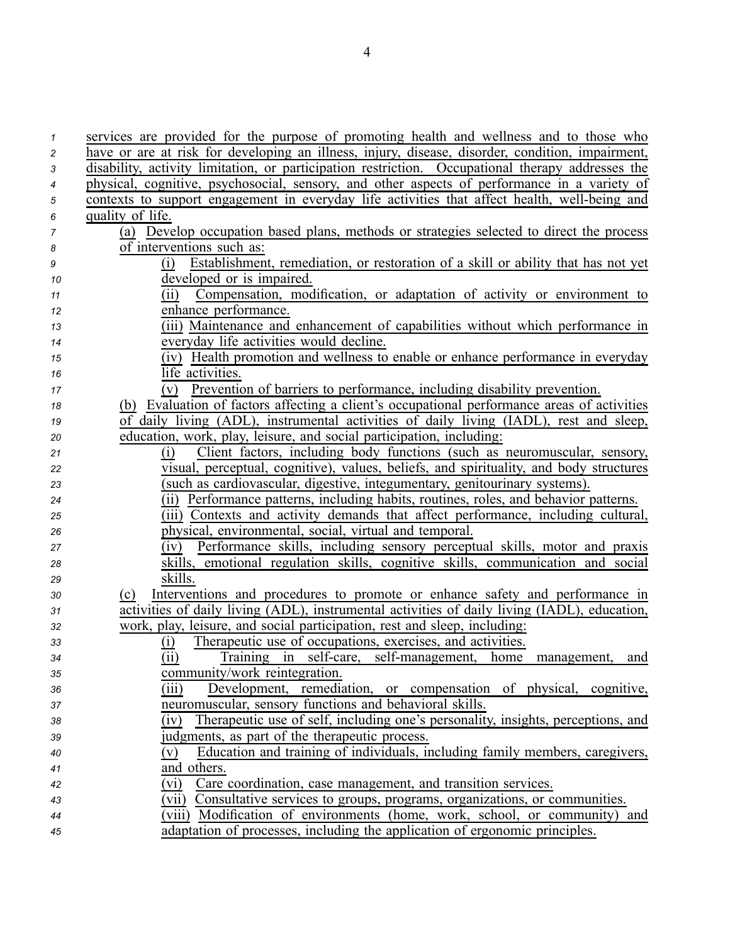| $\mathbf{1}$              | services are provided for the purpose of promoting health and wellness and to those who           |
|---------------------------|---------------------------------------------------------------------------------------------------|
| $\overline{c}$            | have or are at risk for developing an illness, injury, disease, disorder, condition, impairment,  |
| $\ensuremath{\mathsf{3}}$ | disability, activity limitation, or participation restriction. Occupational therapy addresses the |
| $\boldsymbol{4}$          | physical, cognitive, psychosocial, sensory, and other aspects of performance in a variety of      |
| $\sqrt{5}$                | contexts to support engagement in everyday life activities that affect health, well-being and     |
| 6                         | quality of life.                                                                                  |
| $\overline{7}$            | (a) Develop occupation based plans, methods or strategies selected to direct the process          |
| $\pmb{8}$                 | of interventions such as:                                                                         |
| $\boldsymbol{9}$          | Establishment, remediation, or restoration of a skill or ability that has not yet<br>(i)          |
| 10                        | developed or is impaired.                                                                         |
| 11                        | Compensation, modification, or adaptation of activity or environment to<br>(11)                   |
| 12                        | enhance performance.                                                                              |
| 13                        | (iii) Maintenance and enhancement of capabilities without which performance in                    |
| 14                        | everyday life activities would decline.                                                           |
| 15                        | Health promotion and wellness to enable or enhance performance in everyday<br>(iv)                |
| 16                        | life activities.                                                                                  |
| 17                        | Prevention of barriers to performance, including disability prevention.<br>(V)                    |
| 18                        | (b) Evaluation of factors affecting a client's occupational performance areas of activities       |
| 19                        | of daily living (ADL), instrumental activities of daily living (IADL), rest and sleep,            |
| 20                        | education, work, play, leisure, and social participation, including:                              |
| 21                        | Client factors, including body functions (such as neuromuscular, sensory,<br>(i)                  |
| 22                        | visual, perceptual, cognitive), values, beliefs, and spirituality, and body structures            |
| 23                        | (such as cardiovascular, digestive, integumentary, genitourinary systems).                        |
| 24                        | (ii) Performance patterns, including habits, routines, roles, and behavior patterns.              |
| 25                        | (iii) Contexts and activity demands that affect performance, including cultural,                  |
| 26                        | physical, environmental, social, virtual and temporal.                                            |
| 27                        | Performance skills, including sensory perceptual skills, motor and praxis<br>(iv)                 |
| 28                        | skills, emotional regulation skills, cognitive skills, communication and social                   |
| 29                        | skills.                                                                                           |
| 30                        | Interventions and procedures to promote or enhance safety and performance in<br>(c)               |
| 31                        | activities of daily living (ADL), instrumental activities of daily living (IADL), education,      |
| 32                        | work, play, leisure, and social participation, rest and sleep, including:                         |
| 33                        | Therapeutic use of occupations, exercises, and activities.<br><u>(i)</u>                          |
| 34                        | (ii)<br>Training in self-care, self-management, home<br>management,<br>and                        |
| 35                        | community/work reintegration.                                                                     |
| 36                        | Development, remediation, or compensation of physical, cognitive,<br>(iii)                        |
| 37                        | neuromuscular, sensory functions and behavioral skills.                                           |
| 38                        | Therapeutic use of self, including one's personality, insights, perceptions, and<br>(iv)          |
| 39                        | judgments, as part of the therapeutic process.                                                    |
| 40                        | Education and training of individuals, including family members, caregivers,<br>(v)               |
| 41                        | and others.                                                                                       |
| 42                        | Care coordination, case management, and transition services.<br>(vi)                              |
| 43                        | Consultative services to groups, programs, organizations, or communities.<br>(vii)                |
| 44                        | (viii) Modification of environments (home, work, school, or community) and                        |
| 45                        | adaptation of processes, including the application of ergonomic principles.                       |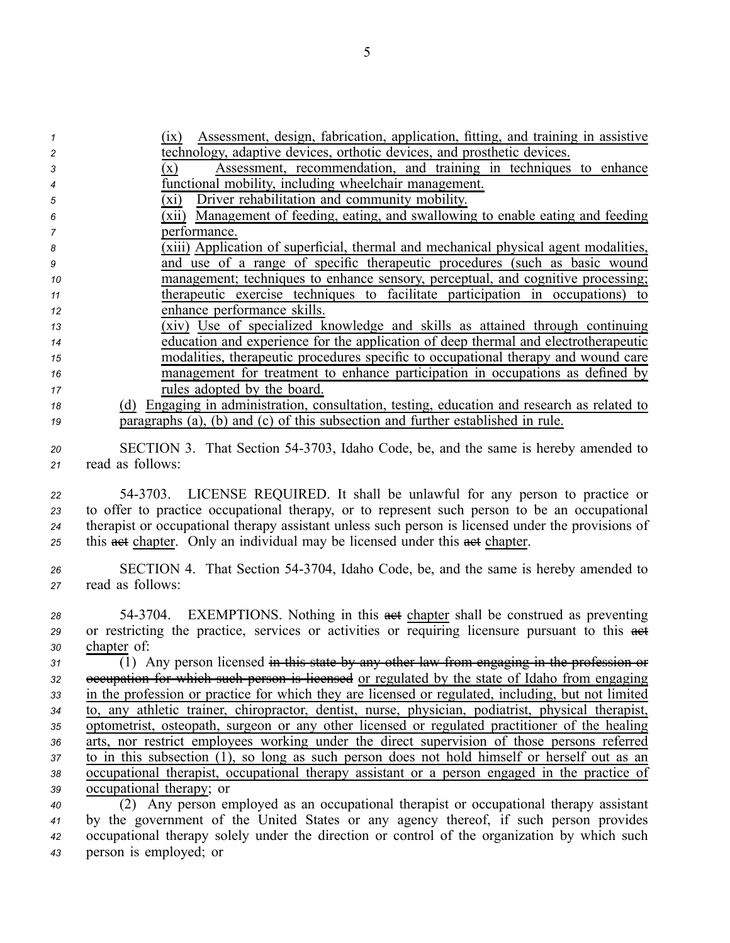| 1  | Assessment, design, fabrication, application, fitting, and training in assistive<br>(1X)               |
|----|--------------------------------------------------------------------------------------------------------|
| 2  | technology, adaptive devices, orthotic devices, and prosthetic devices.                                |
| 3  | Assessment, recommendation, and training in techniques to enhance<br>$(\mathbf{x})$                    |
| 4  | functional mobility, including wheelchair management.                                                  |
| 5  | Driver rehabilitation and community mobility.<br>$(x_i)$                                               |
| 6  | (xii) Management of feeding, eating, and swallowing to enable eating and feeding                       |
| 7  | performance.                                                                                           |
| 8  | (xiii) Application of superficial, thermal and mechanical physical agent modalities,                   |
| 9  | and use of a range of specific therapeutic procedures (such as basic wound                             |
| 10 | management; techniques to enhance sensory, perceptual, and cognitive processing;                       |
| 11 | therapeutic exercise techniques to facilitate participation in occupations) to                         |
| 12 | enhance performance skills.                                                                            |
| 13 | (xiv) Use of specialized knowledge and skills as attained through continuing                           |
| 14 | education and experience for the application of deep thermal and electrotherapeutic                    |
| 15 | modalities, therapeutic procedures specific to occupational therapy and wound care                     |
| 16 | management for treatment to enhance participation in occupations as defined by                         |
|    | rules adopted by the board.                                                                            |
| 17 |                                                                                                        |
| 18 | (d) Engaging in administration, consultation, testing, education and research as related to            |
| 19 | paragraphs (a), (b) and (c) of this subsection and further established in rule.                        |
| 20 | SECTION 3. That Section 54-3703, Idaho Code, be, and the same is hereby amended to                     |
| 21 | read as follows:                                                                                       |
|    |                                                                                                        |
| 22 | 54-3703. LICENSE REQUIRED. It shall be unlawful for any person to practice or                          |
| 23 | to offer to practice occupational therapy, or to represent such person to be an occupational           |
| 24 | therapist or occupational therapy assistant unless such person is licensed under the provisions of     |
|    | this asset chapter. Only an individual may be licensed under this asset chapter.                       |
| 25 |                                                                                                        |
| 26 | SECTION 4. That Section 54-3704, Idaho Code, be, and the same is hereby amended to                     |
| 27 | read as follows:                                                                                       |
|    |                                                                                                        |
| 28 | 54-3704. EXEMPTIONS. Nothing in this asset chapter shall be construed as preventing                    |
| 29 | or restricting the practice, services or activities or requiring licensure pursuant to this act        |
| 30 | chapter of:                                                                                            |
| 31 | $\overline{1}$ ) Any person licensed in this state by any other law from engaging in the profession or |
| 32 | eccupation for which such person is licensed or regulated by the state of Idaho from engaging          |
| 33 | in the profession or practice for which they are licensed or regulated, including, but not limited     |
|    | to, any athletic trainer, chiropractor, dentist, nurse, physician, podiatrist, physical therapist,     |
| 34 | optometrist, osteopath, surgeon or any other licensed or regulated practitioner of the healing         |
| 35 |                                                                                                        |
| 36 | arts, nor restrict employees working under the direct supervision of those persons referred            |
| 37 | to in this subsection (1), so long as such person does not hold himself or herself out as an           |
| 38 | occupational therapist, occupational therapy assistant or a person engaged in the practice of          |
| 39 | occupational therapy; or                                                                               |
| 40 | (2) Any person employed as an occupational therapist or occupational therapy assistant                 |
| 41 | by the government of the United States or any agency thereof, if such person provides                  |
| 42 | occupational therapy solely under the direction or control of the organization by which such           |
| 43 | person is employed; or                                                                                 |

5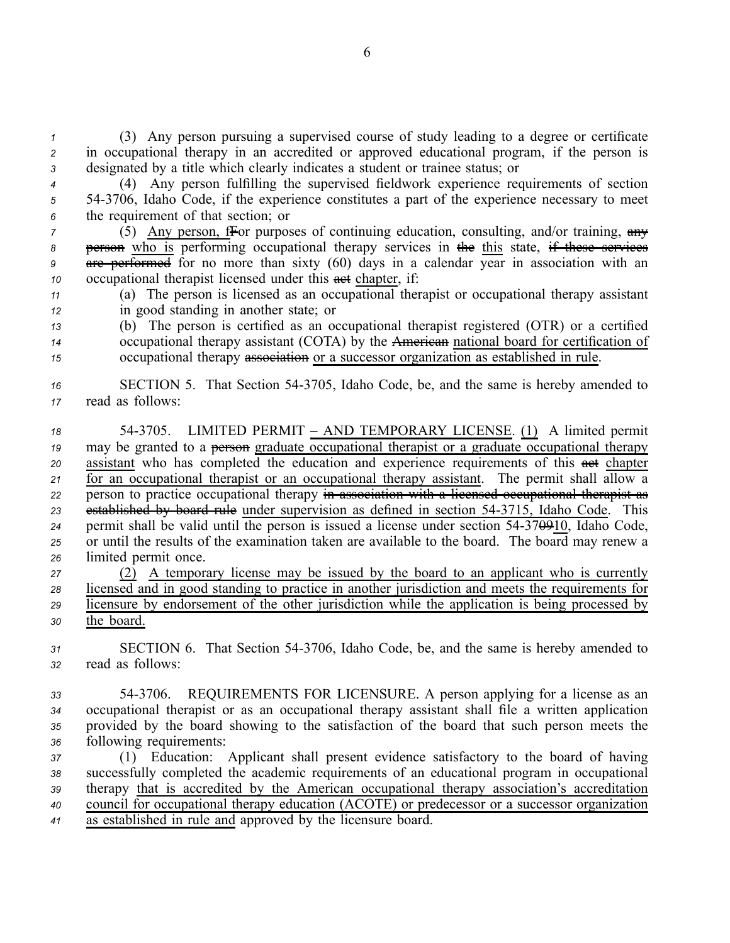*<sup>1</sup>* (3) Any person pursuing <sup>a</sup> supervised course of study leading to <sup>a</sup> degree or certificate *<sup>2</sup>* in occupational therapy in an accredited or approved educational program, if the person is *<sup>3</sup>* designated by <sup>a</sup> title which clearly indicates <sup>a</sup> student or trainee status; or

*<sup>4</sup>* (4) Any person fulfilling the supervised fieldwork experience requirements of section *<sup>5</sup>* 543706, Idaho Code, if the experience constitutes <sup>a</sup> par<sup>t</sup> of the experience necessary to meet *<sup>6</sup>* the requirement of that section; or

 (5) Any person, fFor purposes of continuing education, consulting, and/or training, any **person** who is performing occupational therapy services in the this state, if these services are performed for no more than sixty (60) days in <sup>a</sup> calendar year in association with an 10 occupational therapist licensed under this **act** chapter, if:

*<sup>11</sup>* (a) The person is licensed as an occupational therapist or occupational therapy assistant *<sup>12</sup>* in good standing in another state; or

*<sup>13</sup>* (b) The person is certified as an occupational therapist registered (OTR) or <sup>a</sup> certified *<sup>14</sup>* occupational therapy assistant (COTA) by the American national board for certification of *<sup>15</sup>* occupational therapy association or <sup>a</sup> successor organization as established in rule.

*<sup>16</sup>* SECTION 5. That Section 543705, Idaho Code, be, and the same is hereby amended to *<sup>17</sup>* read as follows:

 543705. LIMITED PERMIT – AND TEMPORARY LICENSE. (1) A limited permit may be granted to <sup>a</sup> person graduate occupational therapist or <sup>a</sup> graduate occupational therapy 20 assistant who has completed the education and experience requirements of this  $\theta$ <sup>thed</sup> chapter for an occupational therapist or an occupational therapy assistant. The permit shall allow <sup>a</sup> person to practice occupational therapy in association with <sup>a</sup> licensed occupational therapist as established by board rule under supervision as defined in section 543715, Idaho Code. This permit shall be valid until the person is issued <sup>a</sup> license under section 54370910, Idaho Code, or until the results of the examination taken are available to the board. The board may renew <sup>a</sup> limited permit once.

 (2) A temporary license may be issued by the board to an applicant who is currently licensed and in good standing to practice in another jurisdiction and meets the requirements for licensure by endorsement of the other jurisdiction while the application is being processed by the board.

- *<sup>31</sup>* SECTION 6. That Section 543706, Idaho Code, be, and the same is hereby amended to *<sup>32</sup>* read as follows:
- *<sup>33</sup>* 543706. REQUIREMENTS FOR LICENSURE. A person applying for <sup>a</sup> license as an *<sup>34</sup>* occupational therapist or as an occupational therapy assistant shall file <sup>a</sup> written application *<sup>35</sup>* provided by the board showing to the satisfaction of the board that such person meets the *<sup>36</sup>* following requirements:

 (1) Education: Applicant shall presen<sup>t</sup> evidence satisfactory to the board of having successfully completed the academic requirements of an educational program in occupational therapy that is accredited by the American occupational therapy association's accreditation council for occupational therapy education (ACOTE) or predecessor or <sup>a</sup> successor organization as established in rule and approved by the licensure board.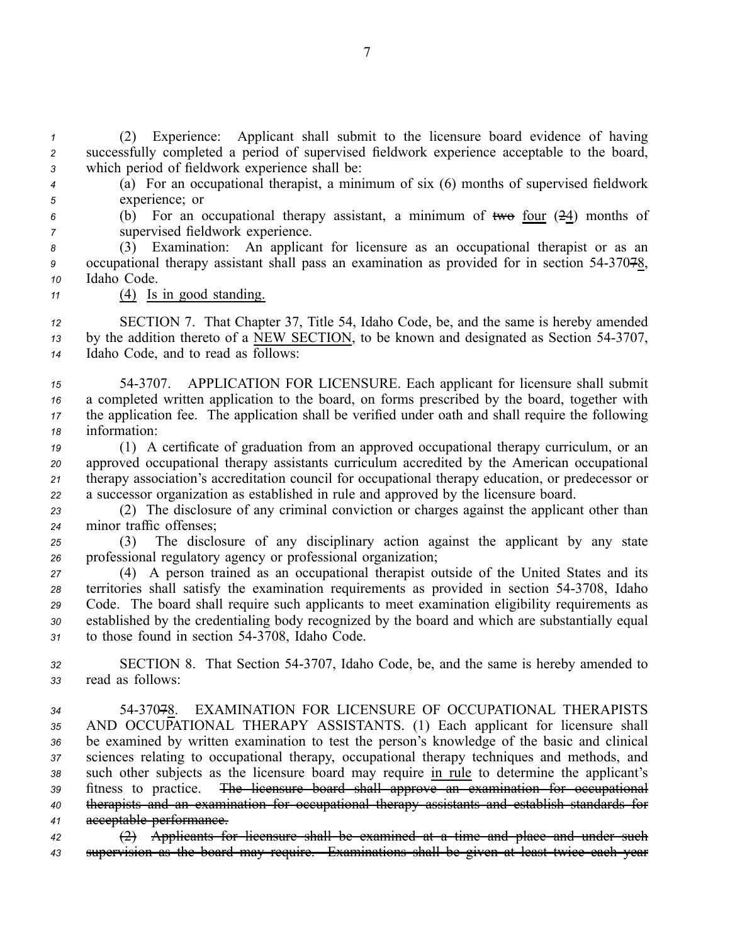*<sup>1</sup>* (2) Experience: Applicant shall submit to the licensure board evidence of having *<sup>2</sup>* successfully completed <sup>a</sup> period of supervised fieldwork experience acceptable to the board, *<sup>3</sup>* which period of fieldwork experience shall be:

- *<sup>4</sup>* (a) For an occupational therapist, <sup>a</sup> minimum of six (6) months of supervised fieldwork *<sup>5</sup>* experience; or
- 

*<sup>6</sup>* (b) For an occupational therapy assistant, <sup>a</sup> minimum of two four (24) months of

*<sup>7</sup>* supervised fieldwork experience.

*<sup>8</sup>* (3) Examination: An applicant for licensure as an occupational therapist or as an *<sup>9</sup>* occupational therapy assistant shall pass an examination as provided for in section 5437078, *<sup>10</sup>* Idaho Code.

*<sup>11</sup>* (4) Is in good standing.

*<sup>12</sup>* SECTION 7. That Chapter 37, Title 54, Idaho Code, be, and the same is hereby amended 13 by the addition thereto of a NEW SECTION, to be known and designated as Section 54-3707, *<sup>14</sup>* Idaho Code, and to read as follows:

 543707. APPLICATION FOR LICENSURE. Each applicant for licensure shall submit <sup>a</sup> completed written application to the board, on forms prescribed by the board, together with the application fee. The application shall be verified under oath and shall require the following information:

 (1) A certificate of graduation from an approved occupational therapy curriculum, or an approved occupational therapy assistants curriculum accredited by the American occupational therapy association's accreditation council for occupational therapy education, or predecessor or <sup>a</sup> successor organization as established in rule and approved by the licensure board.

*<sup>23</sup>* (2) The disclosure of any criminal conviction or charges against the applicant other than *<sup>24</sup>* minor traffic offenses;

*<sup>25</sup>* (3) The disclosure of any disciplinary action against the applicant by any state *<sup>26</sup>* professional regulatory agency or professional organization;

 (4) A person trained as an occupational therapist outside of the United States and its territories shall satisfy the examination requirements as provided in section 543708, Idaho Code. The board shall require such applicants to meet examination eligibility requirements as established by the credentialing body recognized by the board and which are substantially equal to those found in section 543708, Idaho Code.

*<sup>32</sup>* SECTION 8. That Section 543707, Idaho Code, be, and the same is hereby amended to *<sup>33</sup>* read as follows:

 5437078. EXAMINATION FOR LICENSURE OF OCCUPATIONAL THERAPISTS AND OCCUPATIONAL THERAPY ASSISTANTS. (1) Each applicant for licensure shall be examined by written examination to test the person's knowledge of the basic and clinical sciences relating to occupational therapy, occupational therapy techniques and methods, and such other subjects as the licensure board may require in rule to determine the applicant's fitness to practice. The licensure board shall approve an examination for occupational therapists and an examination for occupational therapy assistants and establish standards for acceptable performance.

*<sup>42</sup>* (2) Applicants for licensure shall be examined at <sup>a</sup> time and place and under such *<sup>43</sup>* supervision as the board may require. Examinations shall be given at least twice each year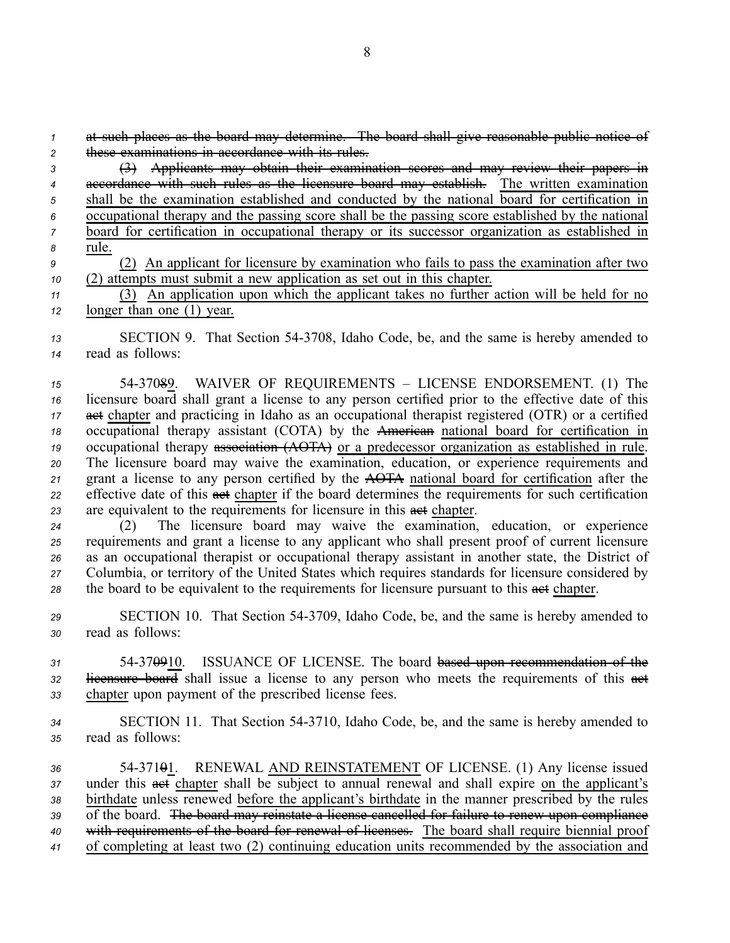*<sup>1</sup>* at such places as the board may determine. The board shall give reasonable public notice of *<sup>2</sup>* these examinations in accordance with its rules.

- *<sup>3</sup>* (3) Applicants may obtain their examination scores and may review their papers in *<sup>4</sup>* accordance with such rules as the licensure board may establish. The written examination *<sup>5</sup>* shall be the examination established and conducted by the national board for certification in *<sup>6</sup>* occupational therapy and the passing score shall be the passing score established by the national *<sup>7</sup>* board for certification in occupational therapy or its successor organization as established in *<sup>8</sup>* rule. *<sup>9</sup>* (2) An applicant for licensure by examination who fails to pass the examination after two
- *<sup>10</sup>* (2) attempts must submit <sup>a</sup> new application as set out in this chapter.

*<sup>11</sup>* (3) An application upon which the applicant takes no further action will be held for no *<sup>12</sup>* longer than one (1) year.

*<sup>13</sup>* SECTION 9. That Section 543708, Idaho Code, be, and the same is hereby amended to *<sup>14</sup>* read as follows:

 5437089. WAIVER OF REQUIREMENTS – LICENSE ENDORSEMENT. (1) The licensure board shall gran<sup>t</sup> <sup>a</sup> license to any person certified prior to the effective date of this 17 act chapter and practicing in Idaho as an occupational therapist registered (OTR) or a certified occupational therapy assistant (COTA) by the American national board for certification in occupational therapy association (AOTA) or <sup>a</sup> predecessor organization as established in rule. The licensure board may waive the examination, education, or experience requirements and gran<sup>t</sup> <sup>a</sup> license to any person certified by the AOTA national board for certification after the effective date of this act chapter if the board determines the requirements for such certification 23 are equivalent to the requirements for licensure in this asset chapter.

 (2) The licensure board may waive the examination, education, or experience requirements and gran<sup>t</sup> <sup>a</sup> license to any applicant who shall presen<sup>t</sup> proof of current licensure as an occupational therapist or occupational therapy assistant in another state, the District of Columbia, or territory of the United States which requires standards for licensure considered by 28 the board to be equivalent to the requirements for licensure pursuant to this act chapter.

*<sup>29</sup>* SECTION 10. That Section 543709, Idaho Code, be, and the same is hereby amended to *<sup>30</sup>* read as follows:

*<sup>31</sup>* 54370910. ISSUANCE OF LICENSE. The board based upon recommendation of the 32 licensure board shall issue a license to any person who meets the requirements of this act *<sup>33</sup>* chapter upon paymen<sup>t</sup> of the prescribed license fees.

*<sup>34</sup>* SECTION 11. That Section 543710, Idaho Code, be, and the same is hereby amended to *<sup>35</sup>* read as follows:

 5437101. RENEWAL AND REINSTATEMENT OF LICENSE. (1) Any license issued 37 under this **act** chapter shall be subject to annual renewal and shall expire on the applicant's birthdate unless renewed before the applicant's birthdate in the manner prescribed by the rules of the board. The board may reinstate <sup>a</sup> license cancelled for failure to renew upon compliance with requirements of the board for renewal of licenses. The board shall require biennial proof of completing at least two (2) continuing education units recommended by the association and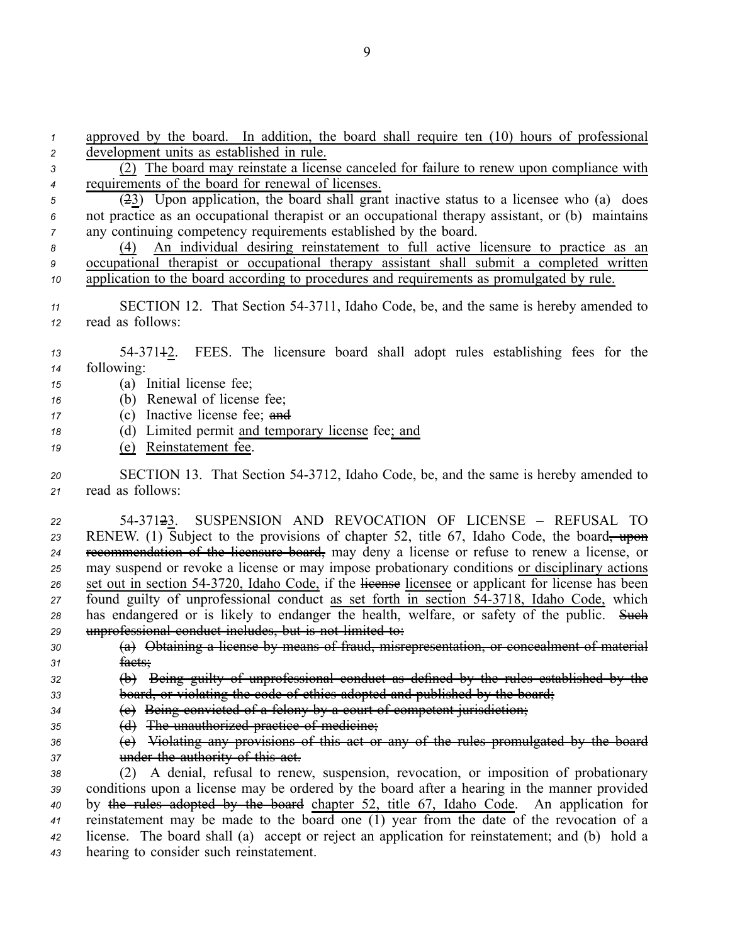requirements of the board for renewal of licenses. (23) Upon application, the board shall gran<sup>t</sup> inactive status to <sup>a</sup> licensee who (a) does not practice as an occupational therapist or an occupational therapy assistant, or (b) maintains any continuing competency requirements established by the board. (4) An individual desiring reinstatement to full active licensure to practice as an occupational therapist or occupational therapy assistant shall submit <sup>a</sup> completed written application to the board according to procedures and requirements as promulgated by rule. SECTION 12. That Section 543711, Idaho Code, be, and the same is hereby amended to read as follows: 5437112. FEES. The licensure board shall adopt rules establishing fees for the following: (a) Initial license fee; (b) Renewal of license fee; (c) Inactive license fee; and (d) Limited permit and temporary license fee; and (e) Reinstatement fee. SECTION 13. That Section 543712, Idaho Code, be, and the same is hereby amended to read as follows: 5437123. SUSPENSION AND REVOCATION OF LICENSE – REFUSAL TO 23 RENEW. (1) Subject to the provisions of chapter 52, title 67, Idaho Code, the board<del>, upon</del> recommendation of the licensure board, may deny <sup>a</sup> license or refuse to renew <sup>a</sup> license, or may suspend or revoke <sup>a</sup> license or may impose probationary conditions or disciplinary actions 26 set out in section 54-3720, Idaho Code, if the license licensee or applicant for license has been found guilty of unprofessional conduct as set forth in section 543718, Idaho Code, which 28 has endangered or is likely to endanger the health, welfare, or safety of the public. Such unprofessional conduct includes, but is not limited to: (a) Obtaining <sup>a</sup> license by means of fraud, misrepresentation, or concealment of material *<sup>31</sup>* facts; (b) Being guilty of unprofessional conduct as defined by the rules established by the board, or violating the code of ethics adopted and published by the board; (c) Being convicted of <sup>a</sup> felony by <sup>a</sup> court of competent jurisdiction; **(d)** The unauthorized practice of medicine; (e) Violating any provisions of this act or any of the rules promulgated by the board under the authority of this act. (2) A denial, refusal to renew, suspension, revocation, or imposition of probationary conditions upon <sup>a</sup> license may be ordered by the board after <sup>a</sup> hearing in the manner provided by the rules adopted by the board chapter 52, title 67, Idaho Code. An application for reinstatement may be made to the board one (1) year from the date of the revocation of <sup>a</sup> license. The board shall (a) accep<sup>t</sup> or reject an application for reinstatement; and (b) hold <sup>a</sup> hearing to consider such reinstatement.

9

*<sup>1</sup>* approved by the board. In addition, the board shall require ten (10) hours of professional

*<sup>3</sup>* (2) The board may reinstate <sup>a</sup> license canceled for failure to renew upon compliance with

*<sup>2</sup>* development units as established in rule.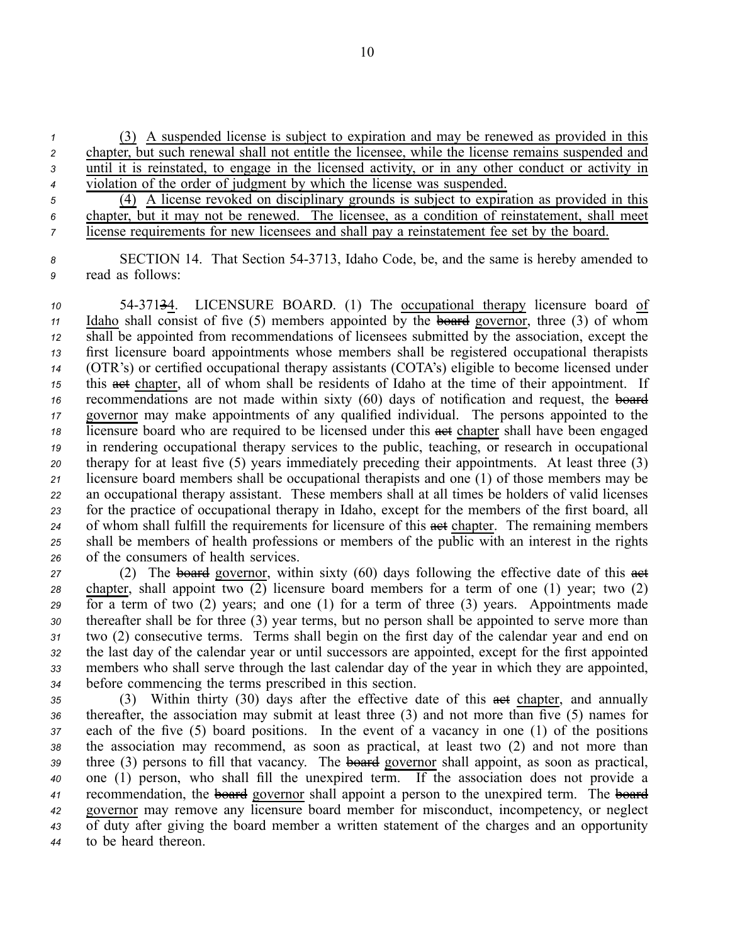(3) A suspended license is subject to expiration and may be renewed as provided in this chapter, but such renewal shall not entitle the licensee, while the license remains suspended and until it is reinstated, to engage in the licensed activity, or in any other conduct or activity in violation of the order of judgment by which the license was suspended.

*<sup>5</sup>* (4) A license revoked on disciplinary grounds is subject to expiration as provided in this *<sup>6</sup>* chapter, but it may not be renewed. The licensee, as <sup>a</sup> condition of reinstatement, shall meet *<sup>7</sup>* license requirements for new licensees and shall pay <sup>a</sup> reinstatement fee set by the board.

*<sup>8</sup>* SECTION 14. That Section 543713, Idaho Code, be, and the same is hereby amended to *<sup>9</sup>* read as follows:

 5437134. LICENSURE BOARD. (1) The occupational therapy licensure board of Idaho shall consist of five (5) members appointed by the board governor, three (3) of whom shall be appointed from recommendations of licensees submitted by the association, excep<sup>t</sup> the first licensure board appointments whose members shall be registered occupational therapists (OTR's) or certified occupational therapy assistants (COTA's) eligible to become licensed under this **act** chapter, all of whom shall be residents of Idaho at the time of their appointment. If recommendations are not made within sixty (60) days of notification and request, the board governor may make appointments of any qualified individual. The persons appointed to the licensure board who are required to be licensed under this **a**ct chapter shall have been engaged in rendering occupational therapy services to the public, teaching, or research in occupational therapy for at least five (5) years immediately preceding their appointments. At least three (3) licensure board members shall be occupational therapists and one (1) of those members may be an occupational therapy assistant. These members shall at all times be holders of valid licenses for the practice of occupational therapy in Idaho, excep<sup>t</sup> for the members of the first board, all 24 of whom shall fulfill the requirements for licensure of this **act** chapter. The remaining members shall be members of health professions or members of the public with an interest in the rights of the consumers of health services.

27 (2) The board governor, within sixty (60) days following the effective date of this act chapter, shall appoint two (2) licensure board members for <sup>a</sup> term of one (1) year; two (2) for <sup>a</sup> term of two (2) years; and one (1) for <sup>a</sup> term of three (3) years. Appointments made thereafter shall be for three (3) year terms, but no person shall be appointed to serve more than two (2) consecutive terms. Terms shall begin on the first day of the calendar year and end on the last day of the calendar year or until successors are appointed, excep<sup>t</sup> for the first appointed members who shall serve through the last calendar day of the year in which they are appointed, before commencing the terms prescribed in this section.

35 (3) Within thirty (30) days after the effective date of this **aset** chapter, and annually thereafter, the association may submit at least three (3) and not more than five (5) names for each of the five (5) board positions. In the event of <sup>a</sup> vacancy in one (1) of the positions the association may recommend, as soon as practical, at least two (2) and not more than 39 three (3) persons to fill that vacancy. The board governor shall appoint, as soon as practical, one (1) person, who shall fill the unexpired term. If the association does not provide <sup>a</sup> recommendation, the board governor shall appoint <sup>a</sup> person to the unexpired term. The board governor may remove any licensure board member for misconduct, incompetency, or neglect of duty after giving the board member <sup>a</sup> written statement of the charges and an opportunity to be heard thereon.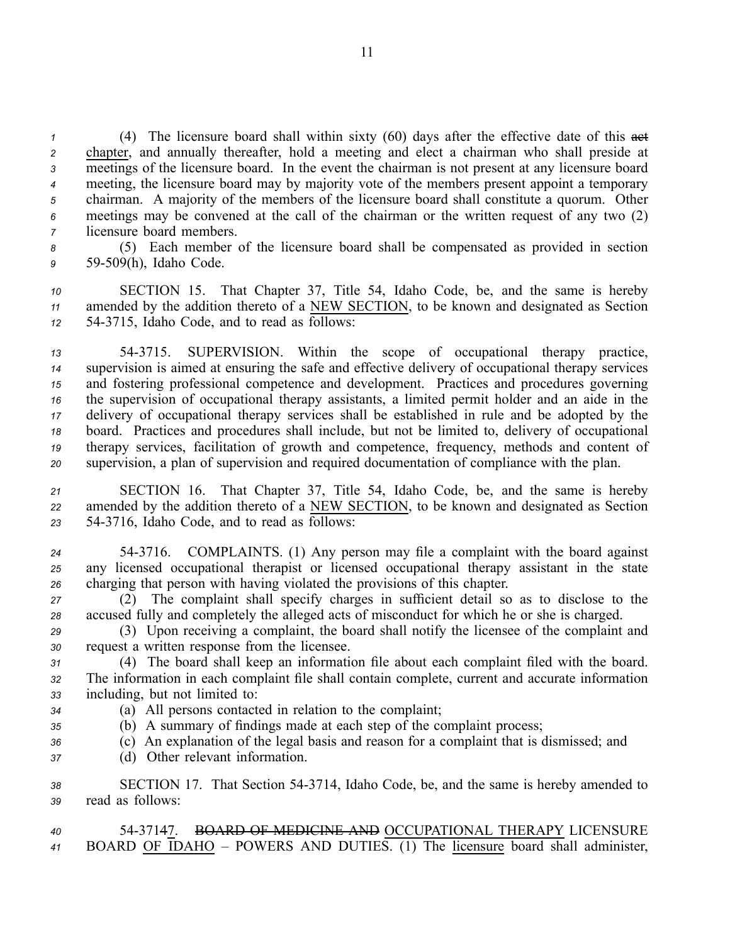(4) The licensure board shall within sixty (60) days after the effective date of this  $\frac{1}{\sqrt{1-\frac{1}{n}}}\left| \frac{1}{n^2} \right|$  chapter, and annually thereafter, hold <sup>a</sup> meeting and elect <sup>a</sup> chairman who shall preside at meetings of the licensure board. In the event the chairman is not presen<sup>t</sup> at any licensure board meeting, the licensure board may by majority vote of the members presen<sup>t</sup> appoint <sup>a</sup> temporary chairman. A majority of the members of the licensure board shall constitute <sup>a</sup> quorum. Other meetings may be convened at the call of the chairman or the written reques<sup>t</sup> of any two (2) licensure board members.

*<sup>8</sup>* (5) Each member of the licensure board shall be compensated as provided in section *<sup>9</sup>* 59509(h), Idaho Code.

*<sup>10</sup>* SECTION 15. That Chapter 37, Title 54, Idaho Code, be, and the same is hereby *<sup>11</sup>* amended by the addition thereto of <sup>a</sup> NEW SECTION, to be known and designated as Section *<sup>12</sup>* 543715, Idaho Code, and to read as follows:

 543715. SUPERVISION. Within the scope of occupational therapy practice, supervision is aimed at ensuring the safe and effective delivery of occupational therapy services and fostering professional competence and development. Practices and procedures governing the supervision of occupational therapy assistants, <sup>a</sup> limited permit holder and an aide in the delivery of occupational therapy services shall be established in rule and be adopted by the board. Practices and procedures shall include, but not be limited to, delivery of occupational therapy services, facilitation of growth and competence, frequency, methods and content of supervision, <sup>a</sup> plan of supervision and required documentation of compliance with the plan.

*<sup>21</sup>* SECTION 16. That Chapter 37, Title 54, Idaho Code, be, and the same is hereby *<sup>22</sup>* amended by the addition thereto of <sup>a</sup> NEW SECTION, to be known and designated as Section *<sup>23</sup>* 543716, Idaho Code, and to read as follows:

*<sup>24</sup>* 543716. COMPLAINTS. (1) Any person may file <sup>a</sup> complaint with the board against *<sup>25</sup>* any licensed occupational therapist or licensed occupational therapy assistant in the state *<sup>26</sup>* charging that person with having violated the provisions of this chapter.

*<sup>27</sup>* (2) The complaint shall specify charges in sufficient detail so as to disclose to the *<sup>28</sup>* accused fully and completely the alleged acts of misconduct for which he or she is charged.

*<sup>29</sup>* (3) Upon receiving <sup>a</sup> complaint, the board shall notify the licensee of the complaint and *<sup>30</sup>* reques<sup>t</sup> <sup>a</sup> written response from the licensee.

*<sup>31</sup>* (4) The board shall keep an information file about each complaint filed with the board. *<sup>32</sup>* The information in each complaint file shall contain complete, current and accurate information *<sup>33</sup>* including, but not limited to:

- 
- *<sup>34</sup>* (a) All persons contacted in relation to the complaint;
- *<sup>35</sup>* (b) A summary of findings made at each step of the complaint process;
- *<sup>36</sup>* (c) An explanation of the legal basis and reason for <sup>a</sup> complaint that is dismissed; and
- *<sup>37</sup>* (d) Other relevant information.

*<sup>38</sup>* SECTION 17. That Section 543714, Idaho Code, be, and the same is hereby amended to *<sup>39</sup>* read as follows:

*40* 5437147. BOARD OF MEDICINE AND OCCUPATIONAL THERAPY LICENSURE *<sup>41</sup>* BOARD OF IDAHO – POWERS AND DUTIES. (1) The licensure board shall administer,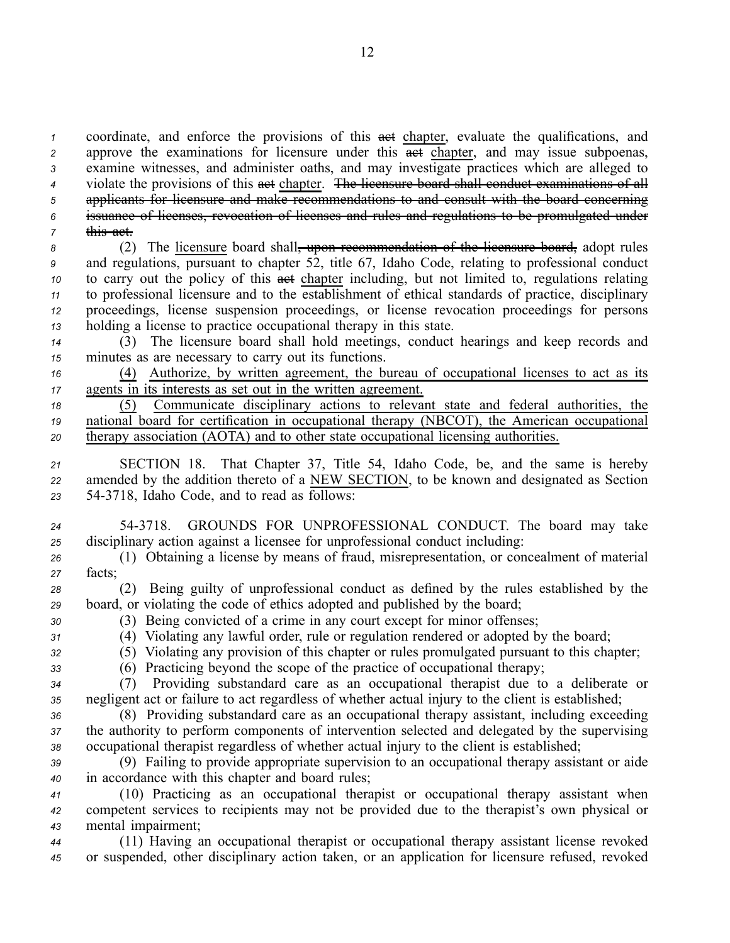coordinate, and enforce the provisions of this act chapter, evaluate the qualifications, and approve the examinations for licensure under this **act chapter**, and may issue subpoenas, examine witnesses, and administer oaths, and may investigate practices which are alleged to violate the provisions of this act chapter. The licensure board shall conduct examinations of all applicants for licensure and make recommendations to and consult with the board concerning issuance of licenses, revocation of licenses and rules and regulations to be promulgated under this act.

8 (2) The licensure board shall<del>, upon recommendation of the licensure board,</del> adopt rules and regulations, pursuan<sup>t</sup> to chapter 52, title 67, Idaho Code, relating to professional conduct to carry out the policy of this **act** chapter including, but not limited to, regulations relating to professional licensure and to the establishment of ethical standards of practice, disciplinary proceedings, license suspension proceedings, or license revocation proceedings for persons holding <sup>a</sup> license to practice occupational therapy in this state.

*<sup>14</sup>* (3) The licensure board shall hold meetings, conduct hearings and keep records and *<sup>15</sup>* minutes as are necessary to carry out its functions.

*<sup>16</sup>* (4) Authorize, by written agreement, the bureau of occupational licenses to act as its *<sup>17</sup>* agents in its interests as set out in the written agreement.

*<sup>18</sup>* (5) Communicate disciplinary actions to relevant state and federal authorities, the *<sup>19</sup>* national board for certification in occupational therapy (NBCOT), the American occupational *<sup>20</sup>* therapy association (AOTA) and to other state occupational licensing authorities.

*<sup>21</sup>* SECTION 18. That Chapter 37, Title 54, Idaho Code, be, and the same is hereby *<sup>22</sup>* amended by the addition thereto of <sup>a</sup> NEW SECTION, to be known and designated as Section *<sup>23</sup>* 543718, Idaho Code, and to read as follows:

*<sup>24</sup>* 543718. GROUNDS FOR UNPROFESSIONAL CONDUCT. The board may take *<sup>25</sup>* disciplinary action against <sup>a</sup> licensee for unprofessional conduct including:

*<sup>26</sup>* (1) Obtaining <sup>a</sup> license by means of fraud, misrepresentation, or concealment of material *<sup>27</sup>* facts;

*<sup>28</sup>* (2) Being guilty of unprofessional conduct as defined by the rules established by the *<sup>29</sup>* board, or violating the code of ethics adopted and published by the board;

- 
- *<sup>30</sup>* (3) Being convicted of <sup>a</sup> crime in any court excep<sup>t</sup> for minor offenses; *<sup>31</sup>* (4) Violating any lawful order, rule or regulation rendered or adopted by the board;
- *<sup>32</sup>* (5) Violating any provision of this chapter or rules promulgated pursuan<sup>t</sup> to this chapter;
- *<sup>33</sup>* (6) Practicing beyond the scope of the practice of occupational therapy;

*<sup>34</sup>* (7) Providing substandard care as an occupational therapist due to <sup>a</sup> deliberate or *<sup>35</sup>* negligent act or failure to act regardless of whether actual injury to the client is established;

*<sup>36</sup>* (8) Providing substandard care as an occupational therapy assistant, including exceeding *<sup>37</sup>* the authority to perform components of intervention selected and delegated by the supervising *<sup>38</sup>* occupational therapist regardless of whether actual injury to the client is established;

*<sup>39</sup>* (9) Failing to provide appropriate supervision to an occupational therapy assistant or aide *<sup>40</sup>* in accordance with this chapter and board rules;

*<sup>41</sup>* (10) Practicing as an occupational therapist or occupational therapy assistant when *<sup>42</sup>* competent services to recipients may not be provided due to the therapist's own physical or *<sup>43</sup>* mental impairment;

*<sup>44</sup>* (11) Having an occupational therapist or occupational therapy assistant license revoked *<sup>45</sup>* or suspended, other disciplinary action taken, or an application for licensure refused, revoked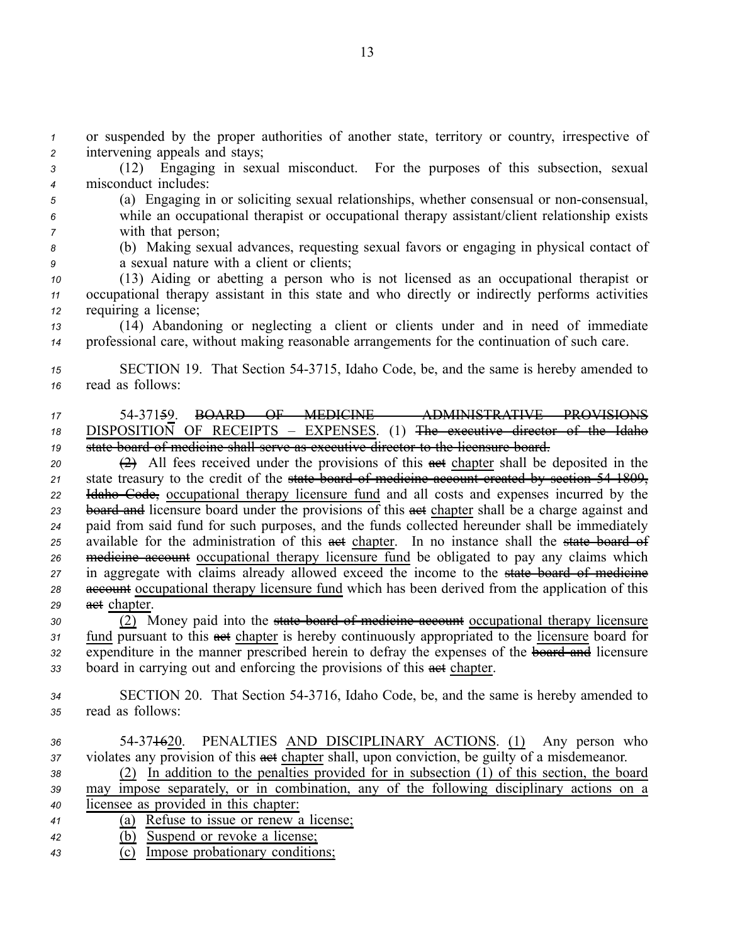*<sup>1</sup>* or suspended by the proper authorities of another state, territory or country, irrespective of *<sup>2</sup>* intervening appeals and stays;

*<sup>3</sup>* (12) Engaging in sexual misconduct. For the purposes of this subsection, sexual *<sup>4</sup>* misconduct includes:

*<sup>5</sup>* (a) Engaging in or soliciting sexual relationships, whether consensual or nonconsensual, *<sup>6</sup>* while an occupational therapist or occupational therapy assistant/client relationship exists *<sup>7</sup>* with that person;

*<sup>8</sup>* (b) Making sexual advances, requesting sexual favors or engaging in physical contact of *<sup>9</sup>* <sup>a</sup> sexual nature with <sup>a</sup> client or clients;

*<sup>10</sup>* (13) Aiding or abetting <sup>a</sup> person who is not licensed as an occupational therapist or *<sup>11</sup>* occupational therapy assistant in this state and who directly or indirectly performs activities *<sup>12</sup>* requiring <sup>a</sup> license;

*<sup>13</sup>* (14) Abandoning or neglecting <sup>a</sup> client or clients under and in need of immediate *<sup>14</sup>* professional care, without making reasonable arrangements for the continuation of such care.

*<sup>15</sup>* SECTION 19. That Section 543715, Idaho Code, be, and the same is hereby amended to *<sup>16</sup>* read as follows:

# *<sup>17</sup>* 5437159. BOARD OF MEDICINE – ADMINISTRATIVE PROVISIONS *<sup>18</sup>* DISPOSITION OF RECEIPTS – EXPENSES. (1) The executive director of the Idaho *<sup>19</sup>* state board of medicine shall serve as executive director to the licensure board.

 $\overrightarrow{20}$  All fees received under the provisions of this  $\overrightarrow{det}$  chapter shall be deposited in the state treasury to the credit of the state board of medicine account created by section 541809, Idaho Code, occupational therapy licensure fund and all costs and expenses incurred by the 23 board and licensure board under the provisions of this ast chapter shall be a charge against and paid from said fund for such purposes, and the funds collected hereunder shall be immediately available for the administration of this act chapter. In no instance shall the state board of medicine account occupational therapy licensure fund be obligated to pay any claims which in aggregate with claims already allowed exceed the income to the state board of medicine account occupational therapy licensure fund which has been derived from the application of this act chapter.

 (2) Money paid into the state board of medicine account occupational therapy licensure fund pursuan<sup>t</sup> to this act chapter is hereby continuously appropriated to the licensure board for 32 expenditure in the manner prescribed herein to defray the expenses of the **board and** licensure board in carrying out and enforcing the provisions of this act chapter.

*<sup>34</sup>* SECTION 20. That Section 543716, Idaho Code, be, and the same is hereby amended to *<sup>35</sup>* read as follows:

 54371620. PENALTIES AND DISCIPLINARY ACTIONS. (1) Any person who violates any provision of this **aset** chapter shall, upon conviction, be guilty of a misdemeanor. (2) In addition to the penalties provided for in subsection (1) of this section, the board may impose separately, or in combination, any of the following disciplinary actions on <sup>a</sup> licensee as provided in this chapter: (a) Refuse to issue or renew <sup>a</sup> license; (b) Suspend or revoke <sup>a</sup> license;

*<sup>43</sup>* (c) Impose probationary conditions;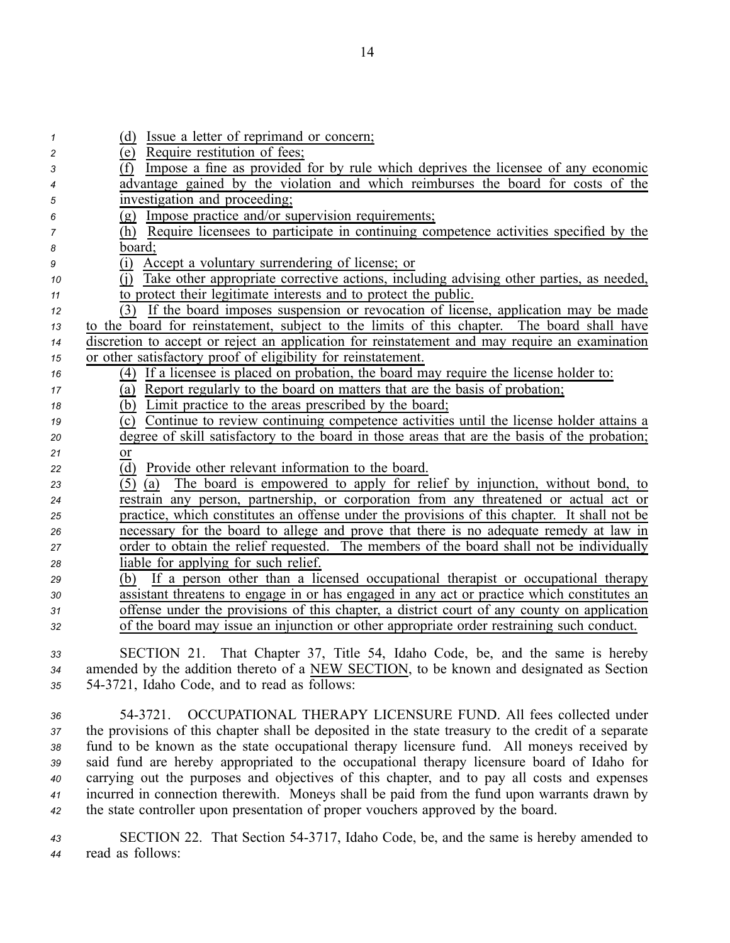| 1              | (d) Issue a letter of reprimand or concern;                                                         |
|----------------|-----------------------------------------------------------------------------------------------------|
| $\overline{c}$ | (e) Require restitution of fees;                                                                    |
| 3              | $\overline{(f)}$ Impose a fine as provided for by rule which deprives the licensee of any economic  |
| 4              | advantage gained by the violation and which reimburses the board for costs of the                   |
| 5              | investigation and proceeding;                                                                       |
| 6              | (g) Impose practice and/or supervision requirements;                                                |
| 7              | (h) Require licensees to participate in continuing competence activities specified by the           |
| 8              | board:                                                                                              |
| 9              | Accept a voluntary surrendering of license; or<br>(i)                                               |
| 10             | Take other appropriate corrective actions, including advising other parties, as needed,<br>(i)      |
| 11             | to protect their legitimate interests and to protect the public.                                    |
| 12             | (3) If the board imposes suspension or revocation of license, application may be made               |
| 13             | to the board for reinstatement, subject to the limits of this chapter. The board shall have         |
| 14             | discretion to accept or reject an application for reinstatement and may require an examination      |
| 15             | or other satisfactory proof of eligibility for reinstatement.                                       |
| 16             | (4) If a licensee is placed on probation, the board may require the license holder to:              |
| 17             | (a) Report regularly to the board on matters that are the basis of probation;                       |
| 18             | (b) Limit practice to the areas prescribed by the board;                                            |
| 19             | (c) Continue to review continuing competence activities until the license holder attains a          |
| 20             | degree of skill satisfactory to the board in those areas that are the basis of the probation;       |
| 21             | or                                                                                                  |
| 22             | (d) Provide other relevant information to the board.                                                |
| 23             | The board is empowered to apply for relief by injunction, without bond, to<br>(5)<br>(a)            |
| 24             | restrain any person, partnership, or corporation from any threatened or actual act or               |
| 25             | practice, which constitutes an offense under the provisions of this chapter. It shall not be        |
| 26             | necessary for the board to allege and prove that there is no adequate remedy at law in              |
| 27             | order to obtain the relief requested. The members of the board shall not be individually            |
| 28             | liable for applying for such relief.                                                                |
| 29             | If a person other than a licensed occupational therapist or occupational therapy<br>(b)             |
| 30             | assistant threatens to engage in or has engaged in any act or practice which constitutes an         |
| 31             | offense under the provisions of this chapter, a district court of any county on application         |
| 32             | of the board may issue an injunction or other appropriate order restraining such conduct.           |
| 33             | SECTION 21. That Chapter 37, Title 54, Idaho Code, be, and the same is hereby                       |
| 34             | amended by the addition thereto of a NEW SECTION, to be known and designated as Section             |
| 35             | 54-3721, Idaho Code, and to read as follows:                                                        |
|                |                                                                                                     |
| 36             | OCCUPATIONAL THERAPY LICENSURE FUND. All fees collected under<br>54-3721.                           |
| 27             | the provisions of this chapter shall be deposited in the state treasury to the credit of a separate |

 the provisions of this chapter shall be deposited in the state treasury to the credit of <sup>a</sup> separate fund to be known as the state occupational therapy licensure fund. All moneys received by said fund are hereby appropriated to the occupational therapy licensure board of Idaho for carrying out the purposes and objectives of this chapter, and to pay all costs and expenses incurred in connection therewith. Moneys shall be paid from the fund upon warrants drawn by the state controller upon presentation of proper vouchers approved by the board.

*<sup>43</sup>* SECTION 22. That Section 543717, Idaho Code, be, and the same is hereby amended to *<sup>44</sup>* read as follows: